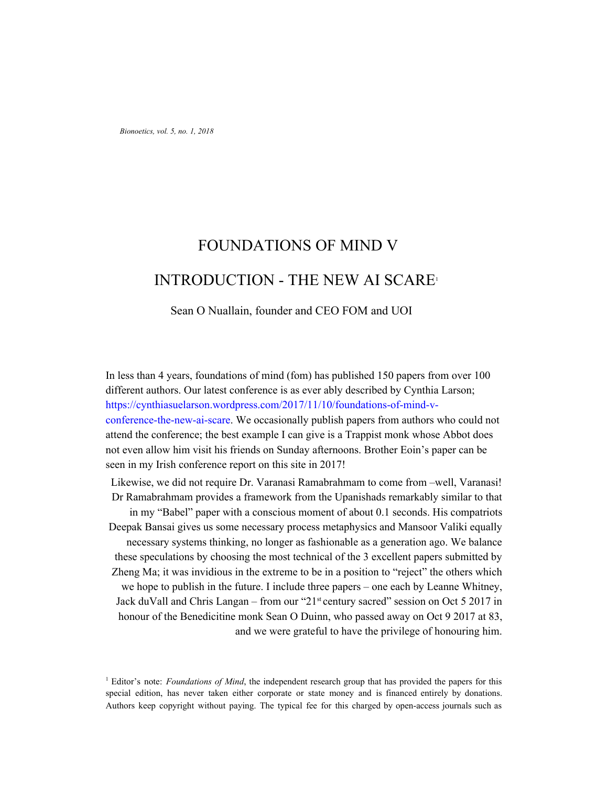*Bionoetics, vol. 5, no. 1, 2018*

# FOUNDATIONS OF MIND V INTRODUCTION - THE NEW AI SCARE<sup>1</sup>

## Sean O Nuallain, founder and CEO FOM and UOI

In less than 4 years, foundations of mind (fom) has published 150 papers from over 100 different authors. Our latest conference is as ever ably described by Cynthia Larson; https://cynthiasuelarson.wordpress.com/2017/11/10/foundations-of-mind-vconference-the-new-ai-scare. We occasionally publish papers from authors who could not attend the conference; the best example I can give is a Trappist monk whose Abbot does not even allow him visit his friends on Sunday afternoons. Brother Eoin's paper can be seen in my Irish conference report on this site in 2017!

Likewise, we did not require Dr. Varanasi Ramabrahmam to come from –well, Varanasi! Dr Ramabrahmam provides a framework from the Upanishads remarkably similar to that in my "Babel" paper with a conscious moment of about 0.1 seconds. His compatriots Deepak Bansai gives us some necessary process metaphysics and Mansoor Valiki equally necessary systems thinking, no longer as fashionable as a generation ago. We balance these speculations by choosing the most technical of the 3 excellent papers submitted by Zheng Ma; it was invidious in the extreme to be in a position to "reject" the others which we hope to publish in the future. I include three papers – one each by Leanne Whitney, Jack duVall and Chris Langan – from our "21<sup>st</sup> century sacred" session on Oct 5 2017 in honour of the Benedicitine monk Sean O Duinn, who passed away on Oct 9 2017 at 83, and we were grateful to have the privilege of honouring him.

<sup>1</sup> Editor's note: *Foundations of Mind*, the independent research group that has provided the papers for this special edition, has never taken either corporate or state money and is financed entirely by donations. Authors keep copyright without paying. The typical fee for this charged by open-access journals such as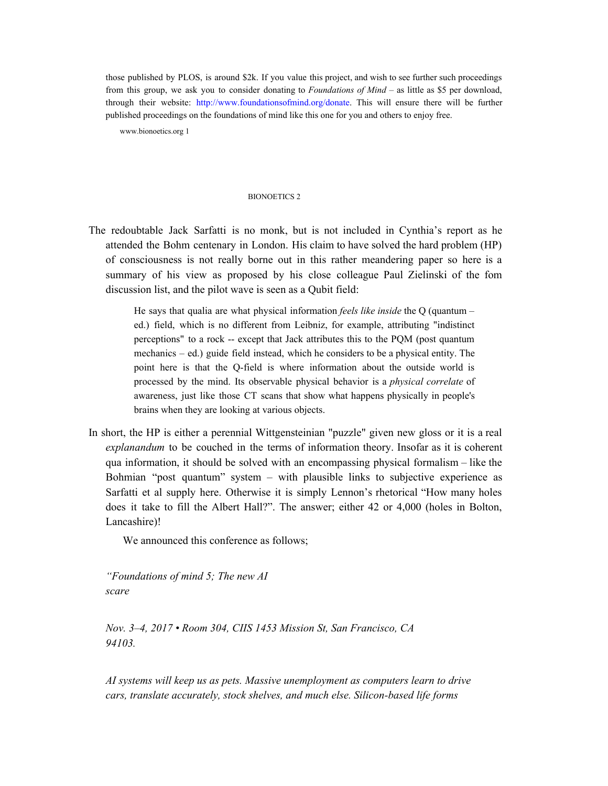those published by PLOS, is around \$2k. If you value this project, and wish to see further such proceedings from this group, we ask you to consider donating to *Foundations of Mind* – as little as \$5 per download, through their website: http://www.foundationsofmind.org/donate. This will ensure there will be further published proceedings on the foundations of mind like this one for you and others to enjoy free.

www.bionoetics.org 1

#### BIONOETICS 2

The redoubtable Jack Sarfatti is no monk, but is not included in Cynthia's report as he attended the Bohm centenary in London. His claim to have solved the hard problem (HP) of consciousness is not really borne out in this rather meandering paper so here is a summary of his view as proposed by his close colleague Paul Zielinski of the fom discussion list, and the pilot wave is seen as a Qubit field:

> He says that qualia are what physical information *feels like inside* the Q (quantum – ed.) field, which is no different from Leibniz, for example, attributing "indistinct perceptions" to a rock -- except that Jack attributes this to the PQM (post quantum mechanics – ed.) guide field instead, which he considers to be a physical entity. The point here is that the Q-field is where information about the outside world is processed by the mind. Its observable physical behavior is a *physical correlate* of awareness, just like those CT scans that show what happens physically in people's brains when they are looking at various objects.

In short, the HP is either a perennial Wittgensteinian "puzzle" given new gloss or it is a real *explanandum* to be couched in the terms of information theory. Insofar as it is coherent qua information, it should be solved with an encompassing physical formalism – like the Bohmian "post quantum" system – with plausible links to subjective experience as Sarfatti et al supply here. Otherwise it is simply Lennon's rhetorical "How many holes does it take to fill the Albert Hall?". The answer; either 42 or 4,000 (holes in Bolton, Lancashire)!

We announced this conference as follows;

*"Foundations of mind 5; The new AI scare*

*Nov. 3–4, 2017 • Room 304, CIIS 1453 Mission St, San Francisco, CA 94103.*

*AI systems will keep us as pets. Massive unemployment as computers learn to drive cars, translate accurately, stock shelves, and much else. Silicon-based life forms*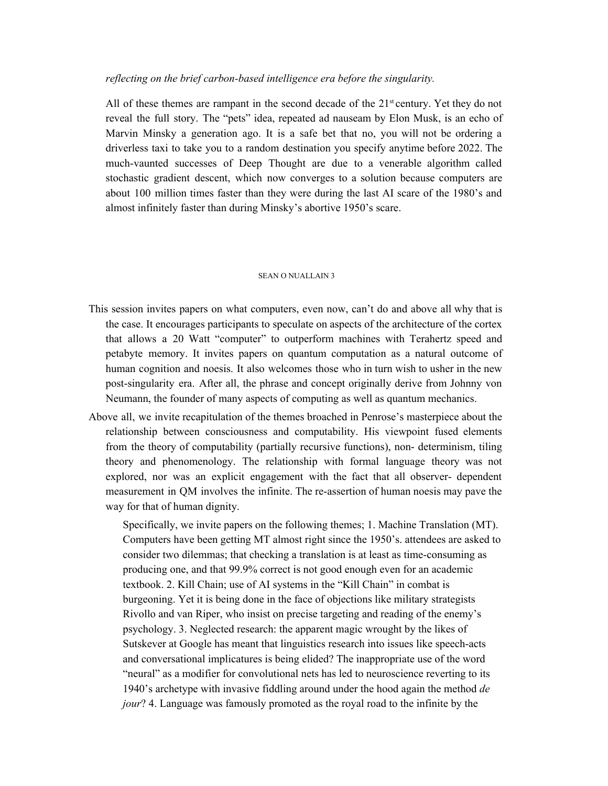## *reflecting on the brief carbon-based intelligence era before the singularity.*

All of these themes are rampant in the second decade of the 21<sup>st</sup> century. Yet they do not reveal the full story. The "pets" idea, repeated ad nauseam by Elon Musk, is an echo of Marvin Minsky a generation ago. It is a safe bet that no, you will not be ordering a driverless taxi to take you to a random destination you specify anytime before 2022. The much-vaunted successes of Deep Thought are due to a venerable algorithm called stochastic gradient descent, which now converges to a solution because computers are about 100 million times faster than they were during the last AI scare of the 1980's and almost infinitely faster than during Minsky's abortive 1950's scare.

#### SEAN O NUALLAIN 3

- This session invites papers on what computers, even now, can't do and above all why that is the case. It encourages participants to speculate on aspects of the architecture of the cortex that allows a 20 Watt "computer" to outperform machines with Terahertz speed and petabyte memory. It invites papers on quantum computation as a natural outcome of human cognition and noesis. It also welcomes those who in turn wish to usher in the new post-singularity era. After all, the phrase and concept originally derive from Johnny von Neumann, the founder of many aspects of computing as well as quantum mechanics.
- Above all, we invite recapitulation of the themes broached in Penrose's masterpiece about the relationship between consciousness and computability. His viewpoint fused elements from the theory of computability (partially recursive functions), non- determinism, tiling theory and phenomenology. The relationship with formal language theory was not explored, nor was an explicit engagement with the fact that all observer- dependent measurement in QM involves the infinite. The re-assertion of human noesis may pave the way for that of human dignity.

Specifically, we invite papers on the following themes; 1. Machine Translation (MT). Computers have been getting MT almost right since the 1950's. attendees are asked to consider two dilemmas; that checking a translation is at least as time-consuming as producing one, and that 99.9% correct is not good enough even for an academic textbook. 2. Kill Chain; use of AI systems in the "Kill Chain" in combat is burgeoning. Yet it is being done in the face of objections like military strategists Rivollo and van Riper, who insist on precise targeting and reading of the enemy's psychology. 3. Neglected research: the apparent magic wrought by the likes of Sutskever at Google has meant that linguistics research into issues like speech-acts and conversational implicatures is being elided? The inappropriate use of the word "neural" as a modifier for convolutional nets has led to neuroscience reverting to its 1940's archetype with invasive fiddling around under the hood again the method *de jour*? 4. Language was famously promoted as the royal road to the infinite by the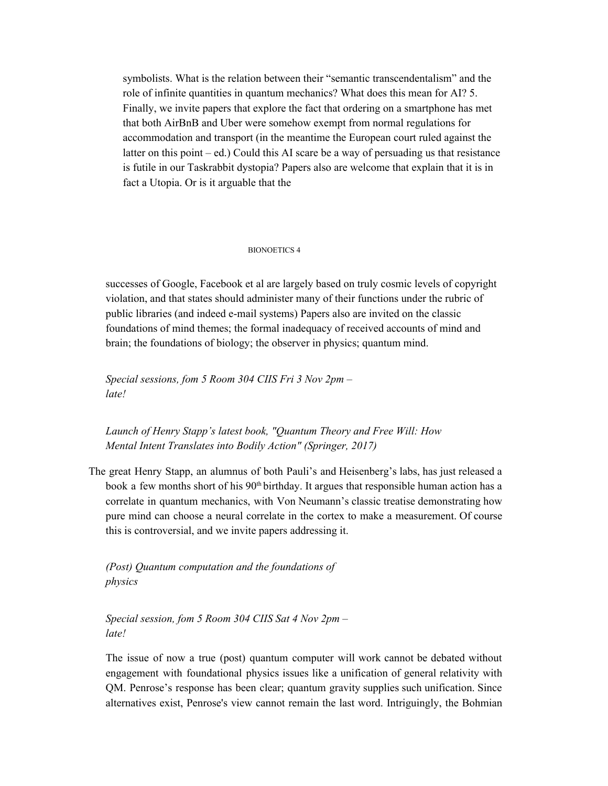symbolists. What is the relation between their "semantic transcendentalism" and the role of infinite quantities in quantum mechanics? What does this mean for AI? 5. Finally, we invite papers that explore the fact that ordering on a smartphone has met that both AirBnB and Uber were somehow exempt from normal regulations for accommodation and transport (in the meantime the European court ruled against the latter on this point – ed.) Could this AI scare be a way of persuading us that resistance is futile in our Taskrabbit dystopia? Papers also are welcome that explain that it is in fact a Utopia. Or is it arguable that the

#### BIONOETICS 4

successes of Google, Facebook et al are largely based on truly cosmic levels of copyright violation, and that states should administer many of their functions under the rubric of public libraries (and indeed e-mail systems) Papers also are invited on the classic foundations of mind themes; the formal inadequacy of received accounts of mind and brain; the foundations of biology; the observer in physics; quantum mind.

*Special sessions, fom 5 Room 304 CIIS Fri 3 Nov 2pm – late!*

*Launch of Henry Stapp's latest book, "Quantum Theory and Free Will: How Mental Intent Translates into Bodily Action" (Springer, 2017)*

The great Henry Stapp, an alumnus of both Pauli's and Heisenberg's labs, has just released a book a few months short of his 90<sup>th</sup> birthday. It argues that responsible human action has a correlate in quantum mechanics, with Von Neumann's classic treatise demonstrating how pure mind can choose a neural correlate in the cortex to make a measurement. Of course this is controversial, and we invite papers addressing it.

*(Post) Quantum computation and the foundations of physics*

*Special session, fom 5 Room 304 CIIS Sat 4 Nov 2pm – late!*

The issue of now a true (post) quantum computer will work cannot be debated without engagement with foundational physics issues like a unification of general relativity with QM. Penrose's response has been clear; quantum gravity supplies such unification. Since alternatives exist, Penrose's view cannot remain the last word. Intriguingly, the Bohmian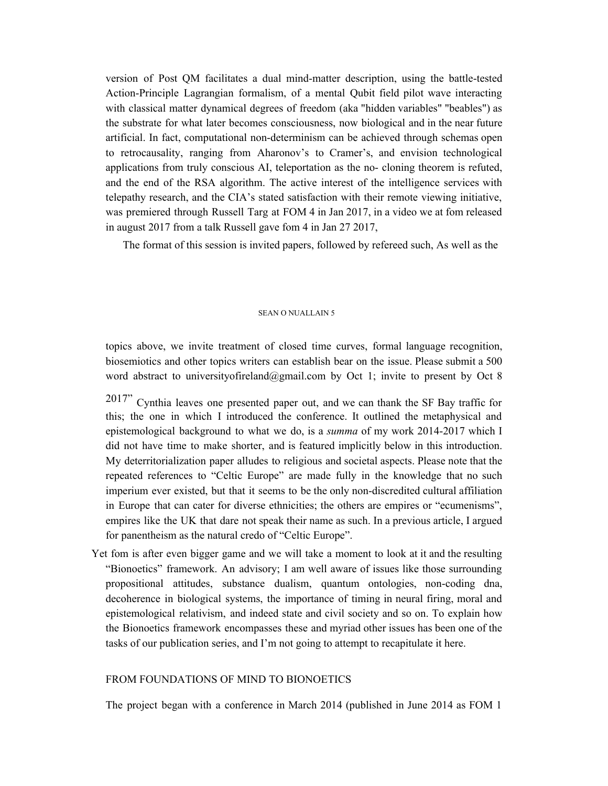version of Post QM facilitates a dual mind-matter description, using the battle-tested Action-Principle Lagrangian formalism, of a mental Qubit field pilot wave interacting with classical matter dynamical degrees of freedom (aka "hidden variables" "beables") as the substrate for what later becomes consciousness, now biological and in the near future artificial. In fact, computational non-determinism can be achieved through schemas open to retrocausality, ranging from Aharonov's to Cramer's, and envision technological applications from truly conscious AI, teleportation as the no- cloning theorem is refuted, and the end of the RSA algorithm. The active interest of the intelligence services with telepathy research, and the CIA's stated satisfaction with their remote viewing initiative, was premiered through Russell Targ at FOM 4 in Jan 2017, in a video we at fom released in august 2017 from a talk Russell gave fom 4 in Jan 27 2017,

The format of this session is invited papers, followed by refereed such, As well as the

#### SEAN O NUALLAIN 5

topics above, we invite treatment of closed time curves, formal language recognition, biosemiotics and other topics writers can establish bear on the issue. Please submit a 500 word abstract to universityofireland@gmail.com by Oct 1; invite to present by Oct 8

2017" Cynthia leaves one presented paper out, and we can thank the SF Bay traffic for this; the one in which I introduced the conference. It outlined the metaphysical and epistemological background to what we do, is a *summa* of my work 2014-2017 which I did not have time to make shorter, and is featured implicitly below in this introduction. My deterritorialization paper alludes to religious and societal aspects. Please note that the repeated references to "Celtic Europe" are made fully in the knowledge that no such imperium ever existed, but that it seems to be the only non-discredited cultural affiliation in Europe that can cater for diverse ethnicities; the others are empires or "ecumenisms", empires like the UK that dare not speak their name as such. In a previous article, I argued for panentheism as the natural credo of "Celtic Europe".

Yet fom is after even bigger game and we will take a moment to look at it and the resulting "Bionoetics" framework. An advisory; I am well aware of issues like those surrounding propositional attitudes, substance dualism, quantum ontologies, non-coding dna, decoherence in biological systems, the importance of timing in neural firing, moral and epistemological relativism, and indeed state and civil society and so on. To explain how the Bionoetics framework encompasses these and myriad other issues has been one of the tasks of our publication series, and I'm not going to attempt to recapitulate it here.

## FROM FOUNDATIONS OF MIND TO BIONOETICS

The project began with a conference in March 2014 (published in June 2014 as FOM 1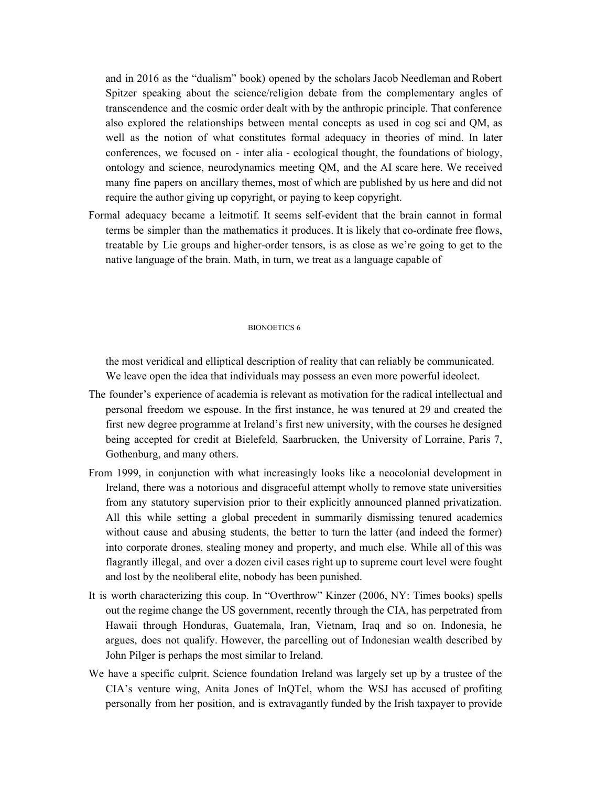and in 2016 as the "dualism" book) opened by the scholars Jacob Needleman and Robert Spitzer speaking about the science/religion debate from the complementary angles of transcendence and the cosmic order dealt with by the anthropic principle. That conference also explored the relationships between mental concepts as used in cog sci and QM, as well as the notion of what constitutes formal adequacy in theories of mind. In later conferences, we focused on - inter alia - ecological thought, the foundations of biology, ontology and science, neurodynamics meeting QM, and the AI scare here. We received many fine papers on ancillary themes, most of which are published by us here and did not require the author giving up copyright, or paying to keep copyright.

Formal adequacy became a leitmotif. It seems self-evident that the brain cannot in formal terms be simpler than the mathematics it produces. It is likely that co-ordinate free flows, treatable by Lie groups and higher-order tensors, is as close as we're going to get to the native language of the brain. Math, in turn, we treat as a language capable of

#### BIONOETICS 6

the most veridical and elliptical description of reality that can reliably be communicated. We leave open the idea that individuals may possess an even more powerful ideolect.

- The founder's experience of academia is relevant as motivation for the radical intellectual and personal freedom we espouse. In the first instance, he was tenured at 29 and created the first new degree programme at Ireland's first new university, with the courses he designed being accepted for credit at Bielefeld, Saarbrucken, the University of Lorraine, Paris 7, Gothenburg, and many others.
- From 1999, in conjunction with what increasingly looks like a neocolonial development in Ireland, there was a notorious and disgraceful attempt wholly to remove state universities from any statutory supervision prior to their explicitly announced planned privatization. All this while setting a global precedent in summarily dismissing tenured academics without cause and abusing students, the better to turn the latter (and indeed the former) into corporate drones, stealing money and property, and much else. While all of this was flagrantly illegal, and over a dozen civil cases right up to supreme court level were fought and lost by the neoliberal elite, nobody has been punished.
- It is worth characterizing this coup. In "Overthrow" Kinzer (2006, NY: Times books) spells out the regime change the US government, recently through the CIA, has perpetrated from Hawaii through Honduras, Guatemala, Iran, Vietnam, Iraq and so on. Indonesia, he argues, does not qualify. However, the parcelling out of Indonesian wealth described by John Pilger is perhaps the most similar to Ireland.
- We have a specific culprit. Science foundation Ireland was largely set up by a trustee of the CIA's venture wing, Anita Jones of InQTel, whom the WSJ has accused of profiting personally from her position, and is extravagantly funded by the Irish taxpayer to provide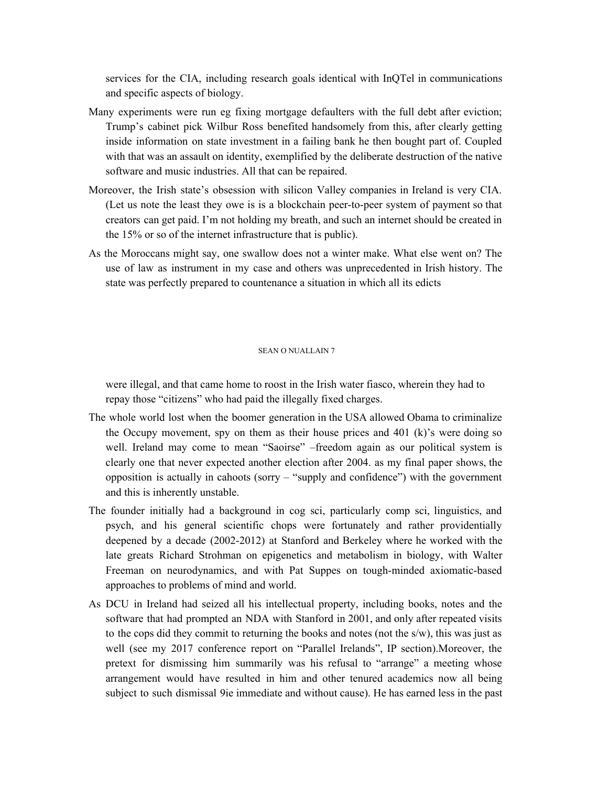services for the CIA, including research goals identical with InQTel in communications and specific aspects of biology.

- Many experiments were run eg fixing mortgage defaulters with the full debt after eviction; Trump's cabinet pick Wilbur Ross benefited handsomely from this, after clearly getting inside information on state investment in a failing bank he then bought part of. Coupled with that was an assault on identity, exemplified by the deliberate destruction of the native software and music industries. All that can be repaired.
- Moreover, the Irish state's obsession with silicon Valley companies in Ireland is very CIA. (Let us note the least they owe is is a blockchain peer-to-peer system of payment so that creators can get paid. I'm not holding my breath, and such an internet should be created in the 15% or so of the internet infrastructure that is public).
- As the Moroccans might say, one swallow does not a winter make. What else went on? The use of law as instrument in my case and others was unprecedented in Irish history. The state was perfectly prepared to countenance a situation in which all its edicts

#### SEAN O NUALLAIN 7

were illegal, and that came home to roost in the Irish water fiasco, wherein they had to repay those "citizens" who had paid the illegally fixed charges.

- The whole world lost when the boomer generation in the USA allowed Obama to criminalize the Occupy movement, spy on them as their house prices and 401 (k)'s were doing so well. Ireland may come to mean "Saoirse" –freedom again as our political system is clearly one that never expected another election after 2004. as my final paper shows, the opposition is actually in cahoots (sorry – "supply and confidence") with the government and this is inherently unstable.
- The founder initially had a background in cog sci, particularly comp sci, linguistics, and psych, and his general scientific chops were fortunately and rather providentially deepened by a decade (2002-2012) at Stanford and Berkeley where he worked with the late greats Richard Strohman on epigenetics and metabolism in biology, with Walter Freeman on neurodynamics, and with Pat Suppes on tough-minded axiomatic-based approaches to problems of mind and world.
- As DCU in Ireland had seized all his intellectual property, including books, notes and the software that had prompted an NDA with Stanford in 2001, and only after repeated visits to the cops did they commit to returning the books and notes (not the s/w), this was just as well (see my 2017 conference report on "Parallel Irelands", IP section).Moreover, the pretext for dismissing him summarily was his refusal to "arrange" a meeting whose arrangement would have resulted in him and other tenured academics now all being subject to such dismissal 9ie immediate and without cause). He has earned less in the past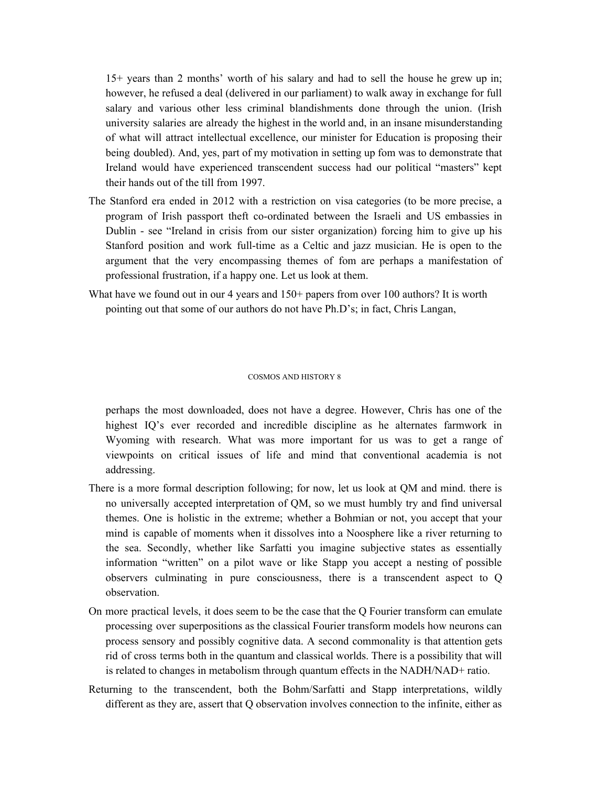15+ years than 2 months' worth of his salary and had to sell the house he grew up in; however, he refused a deal (delivered in our parliament) to walk away in exchange for full salary and various other less criminal blandishments done through the union. (Irish university salaries are already the highest in the world and, in an insane misunderstanding of what will attract intellectual excellence, our minister for Education is proposing their being doubled). And, yes, part of my motivation in setting up fom was to demonstrate that Ireland would have experienced transcendent success had our political "masters" kept their hands out of the till from 1997.

- The Stanford era ended in 2012 with a restriction on visa categories (to be more precise, a program of Irish passport theft co-ordinated between the Israeli and US embassies in Dublin - see "Ireland in crisis from our sister organization) forcing him to give up his Stanford position and work full-time as a Celtic and jazz musician. He is open to the argument that the very encompassing themes of fom are perhaps a manifestation of professional frustration, if a happy one. Let us look at them.
- What have we found out in our 4 years and  $150+$  papers from over 100 authors? It is worth pointing out that some of our authors do not have Ph.D's; in fact, Chris Langan,

#### COSMOS AND HISTORY 8

perhaps the most downloaded, does not have a degree. However, Chris has one of the highest IQ's ever recorded and incredible discipline as he alternates farmwork in Wyoming with research. What was more important for us was to get a range of viewpoints on critical issues of life and mind that conventional academia is not addressing.

- There is a more formal description following; for now, let us look at QM and mind. there is no universally accepted interpretation of QM, so we must humbly try and find universal themes. One is holistic in the extreme; whether a Bohmian or not, you accept that your mind is capable of moments when it dissolves into a Noosphere like a river returning to the sea. Secondly, whether like Sarfatti you imagine subjective states as essentially information "written" on a pilot wave or like Stapp you accept a nesting of possible observers culminating in pure consciousness, there is a transcendent aspect to Q observation.
- On more practical levels, it does seem to be the case that the Q Fourier transform can emulate processing over superpositions as the classical Fourier transform models how neurons can process sensory and possibly cognitive data. A second commonality is that attention gets rid of cross terms both in the quantum and classical worlds. There is a possibility that will is related to changes in metabolism through quantum effects in the NADH/NAD+ ratio.
- Returning to the transcendent, both the Bohm/Sarfatti and Stapp interpretations, wildly different as they are, assert that Q observation involves connection to the infinite, either as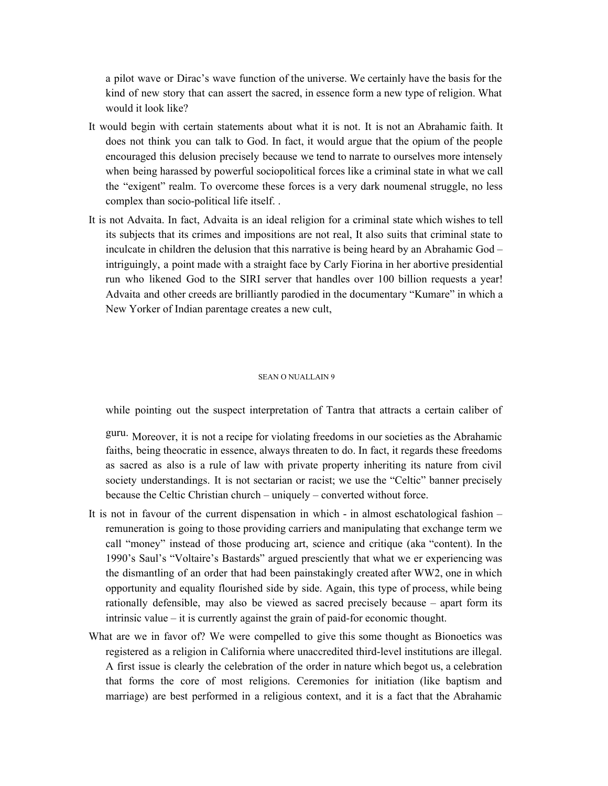a pilot wave or Dirac's wave function of the universe. We certainly have the basis for the kind of new story that can assert the sacred, in essence form a new type of religion. What would it look like?

- It would begin with certain statements about what it is not. It is not an Abrahamic faith. It does not think you can talk to God. In fact, it would argue that the opium of the people encouraged this delusion precisely because we tend to narrate to ourselves more intensely when being harassed by powerful sociopolitical forces like a criminal state in what we call the "exigent" realm. To overcome these forces is a very dark noumenal struggle, no less complex than socio-political life itself. .
- It is not Advaita. In fact, Advaita is an ideal religion for a criminal state which wishes to tell its subjects that its crimes and impositions are not real, It also suits that criminal state to inculcate in children the delusion that this narrative is being heard by an Abrahamic God – intriguingly, a point made with a straight face by Carly Fiorina in her abortive presidential run who likened God to the SIRI server that handles over 100 billion requests a year! Advaita and other creeds are brilliantly parodied in the documentary "Kumare" in which a New Yorker of Indian parentage creates a new cult,

#### SEAN O NUALLAIN 9

while pointing out the suspect interpretation of Tantra that attracts a certain caliber of

guru. Moreover, it is not a recipe for violating freedoms in our societies as the Abrahamic faiths, being theocratic in essence, always threaten to do. In fact, it regards these freedoms as sacred as also is a rule of law with private property inheriting its nature from civil society understandings. It is not sectarian or racist; we use the "Celtic" banner precisely because the Celtic Christian church – uniquely – converted without force.

- It is not in favour of the current dispensation in which in almost eschatological fashion remuneration is going to those providing carriers and manipulating that exchange term we call "money" instead of those producing art, science and critique (aka "content). In the 1990's Saul's "Voltaire's Bastards" argued presciently that what we er experiencing was the dismantling of an order that had been painstakingly created after WW2, one in which opportunity and equality flourished side by side. Again, this type of process, while being rationally defensible, may also be viewed as sacred precisely because – apart form its intrinsic value – it is currently against the grain of paid-for economic thought.
- What are we in favor of? We were compelled to give this some thought as Bionoetics was registered as a religion in California where unaccredited third-level institutions are illegal. A first issue is clearly the celebration of the order in nature which begot us, a celebration that forms the core of most religions. Ceremonies for initiation (like baptism and marriage) are best performed in a religious context, and it is a fact that the Abrahamic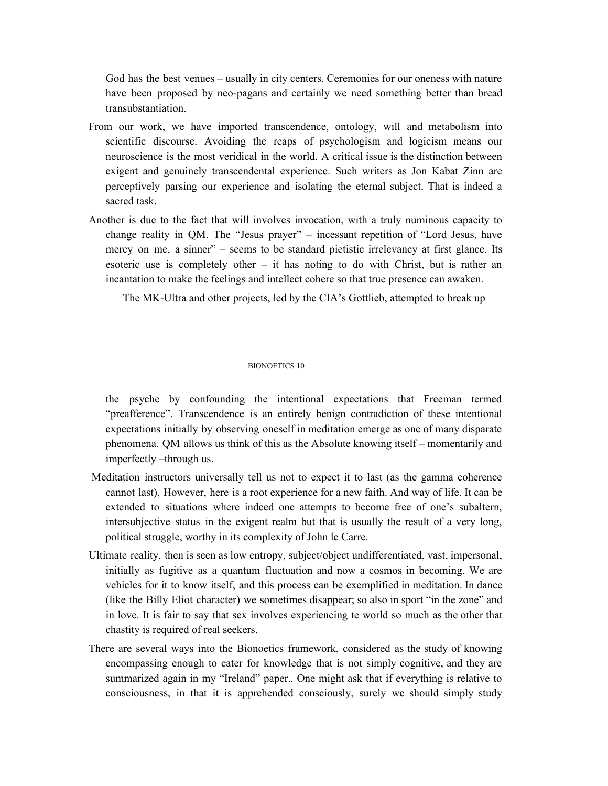God has the best venues – usually in city centers. Ceremonies for our oneness with nature have been proposed by neo-pagans and certainly we need something better than bread transubstantiation.

- From our work, we have imported transcendence, ontology, will and metabolism into scientific discourse. Avoiding the reaps of psychologism and logicism means our neuroscience is the most veridical in the world. A critical issue is the distinction between exigent and genuinely transcendental experience. Such writers as Jon Kabat Zinn are perceptively parsing our experience and isolating the eternal subject. That is indeed a sacred task.
- Another is due to the fact that will involves invocation, with a truly numinous capacity to change reality in QM. The "Jesus prayer" – incessant repetition of "Lord Jesus, have mercy on me, a sinner" – seems to be standard pietistic irrelevancy at first glance. Its esoteric use is completely other – it has noting to do with Christ, but is rather an incantation to make the feelings and intellect cohere so that true presence can awaken.

The MK-Ultra and other projects, led by the CIA's Gottlieb, attempted to break up

### BIONOETICS 10

the psyche by confounding the intentional expectations that Freeman termed "preafference". Transcendence is an entirely benign contradiction of these intentional expectations initially by observing oneself in meditation emerge as one of many disparate phenomena. QM allows us think of this as the Absolute knowing itself – momentarily and imperfectly –through us.

- Meditation instructors universally tell us not to expect it to last (as the gamma coherence cannot last). However, here is a root experience for a new faith. And way of life. It can be extended to situations where indeed one attempts to become free of one's subaltern, intersubjective status in the exigent realm but that is usually the result of a very long, political struggle, worthy in its complexity of John le Carre.
- Ultimate reality, then is seen as low entropy, subject/object undifferentiated, vast, impersonal, initially as fugitive as a quantum fluctuation and now a cosmos in becoming. We are vehicles for it to know itself, and this process can be exemplified in meditation. In dance (like the Billy Eliot character) we sometimes disappear; so also in sport "in the zone" and in love. It is fair to say that sex involves experiencing te world so much as the other that chastity is required of real seekers.
- There are several ways into the Bionoetics framework, considered as the study of knowing encompassing enough to cater for knowledge that is not simply cognitive, and they are summarized again in my "Ireland" paper.. One might ask that if everything is relative to consciousness, in that it is apprehended consciously, surely we should simply study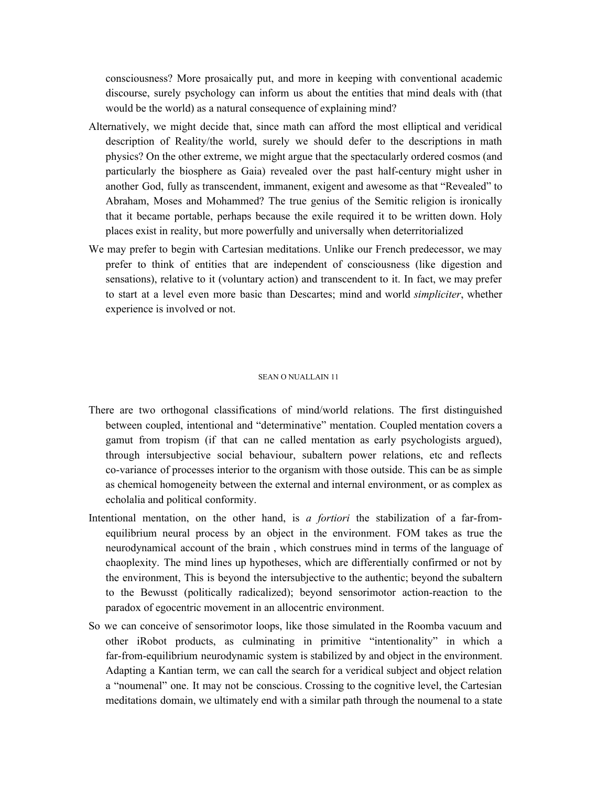consciousness? More prosaically put, and more in keeping with conventional academic discourse, surely psychology can inform us about the entities that mind deals with (that would be the world) as a natural consequence of explaining mind?

- Alternatively, we might decide that, since math can afford the most elliptical and veridical description of Reality/the world, surely we should defer to the descriptions in math physics? On the other extreme, we might argue that the spectacularly ordered cosmos (and particularly the biosphere as Gaia) revealed over the past half-century might usher in another God, fully as transcendent, immanent, exigent and awesome as that "Revealed" to Abraham, Moses and Mohammed? The true genius of the Semitic religion is ironically that it became portable, perhaps because the exile required it to be written down. Holy places exist in reality, but more powerfully and universally when deterritorialized
- We may prefer to begin with Cartesian meditations. Unlike our French predecessor, we may prefer to think of entities that are independent of consciousness (like digestion and sensations), relative to it (voluntary action) and transcendent to it. In fact, we may prefer to start at a level even more basic than Descartes; mind and world *simpliciter*, whether experience is involved or not.

#### SEAN O NUALLAIN 11

- There are two orthogonal classifications of mind/world relations. The first distinguished between coupled, intentional and "determinative" mentation. Coupled mentation covers a gamut from tropism (if that can ne called mentation as early psychologists argued), through intersubjective social behaviour, subaltern power relations, etc and reflects co-variance of processes interior to the organism with those outside. This can be as simple as chemical homogeneity between the external and internal environment, or as complex as echolalia and political conformity.
- Intentional mentation, on the other hand, is *a fortiori* the stabilization of a far-fromequilibrium neural process by an object in the environment. FOM takes as true the neurodynamical account of the brain , which construes mind in terms of the language of chaoplexity. The mind lines up hypotheses, which are differentially confirmed or not by the environment, This is beyond the intersubjective to the authentic; beyond the subaltern to the Bewusst (politically radicalized); beyond sensorimotor action-reaction to the paradox of egocentric movement in an allocentric environment.
- So we can conceive of sensorimotor loops, like those simulated in the Roomba vacuum and other iRobot products, as culminating in primitive "intentionality" in which a far-from-equilibrium neurodynamic system is stabilized by and object in the environment. Adapting a Kantian term, we can call the search for a veridical subject and object relation a "noumenal" one. It may not be conscious. Crossing to the cognitive level, the Cartesian meditations domain, we ultimately end with a similar path through the noumenal to a state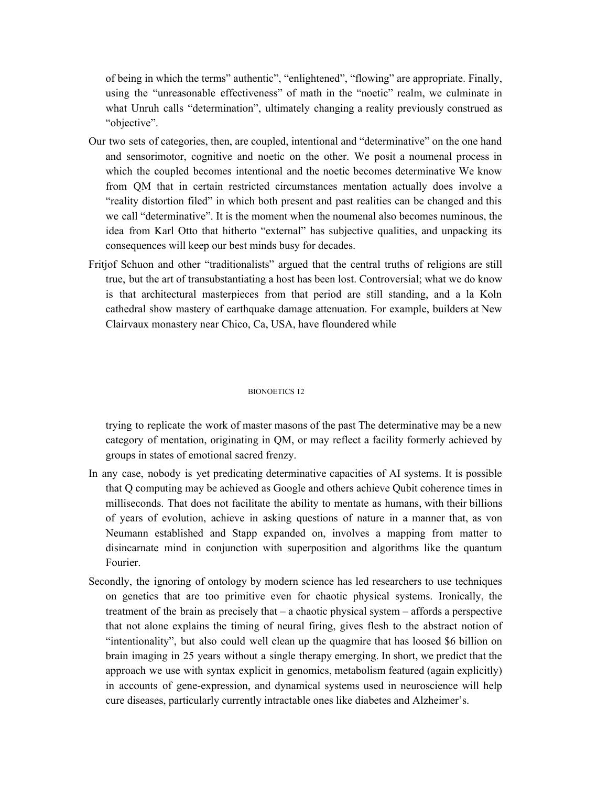of being in which the terms" authentic", "enlightened", "flowing" are appropriate. Finally, using the "unreasonable effectiveness" of math in the "noetic" realm, we culminate in what Unruh calls "determination", ultimately changing a reality previously construed as "objective".

- Our two sets of categories, then, are coupled, intentional and "determinative" on the one hand and sensorimotor, cognitive and noetic on the other. We posit a noumenal process in which the coupled becomes intentional and the noetic becomes determinative We know from QM that in certain restricted circumstances mentation actually does involve a "reality distortion filed" in which both present and past realities can be changed and this we call "determinative". It is the moment when the noumenal also becomes numinous, the idea from Karl Otto that hitherto "external" has subjective qualities, and unpacking its consequences will keep our best minds busy for decades.
- Fritjof Schuon and other "traditionalists" argued that the central truths of religions are still true, but the art of transubstantiating a host has been lost. Controversial; what we do know is that architectural masterpieces from that period are still standing, and a la Koln cathedral show mastery of earthquake damage attenuation. For example, builders at New Clairvaux monastery near Chico, Ca, USA, have floundered while

#### BIONOETICS 12

trying to replicate the work of master masons of the past The determinative may be a new category of mentation, originating in QM, or may reflect a facility formerly achieved by groups in states of emotional sacred frenzy.

- In any case, nobody is yet predicating determinative capacities of AI systems. It is possible that Q computing may be achieved as Google and others achieve Qubit coherence times in milliseconds. That does not facilitate the ability to mentate as humans, with their billions of years of evolution, achieve in asking questions of nature in a manner that, as von Neumann established and Stapp expanded on, involves a mapping from matter to disincarnate mind in conjunction with superposition and algorithms like the quantum Fourier.
- Secondly, the ignoring of ontology by modern science has led researchers to use techniques on genetics that are too primitive even for chaotic physical systems. Ironically, the treatment of the brain as precisely that – a chaotic physical system – affords a perspective that not alone explains the timing of neural firing, gives flesh to the abstract notion of "intentionality", but also could well clean up the quagmire that has loosed \$6 billion on brain imaging in 25 years without a single therapy emerging. In short, we predict that the approach we use with syntax explicit in genomics, metabolism featured (again explicitly) in accounts of gene-expression, and dynamical systems used in neuroscience will help cure diseases, particularly currently intractable ones like diabetes and Alzheimer's.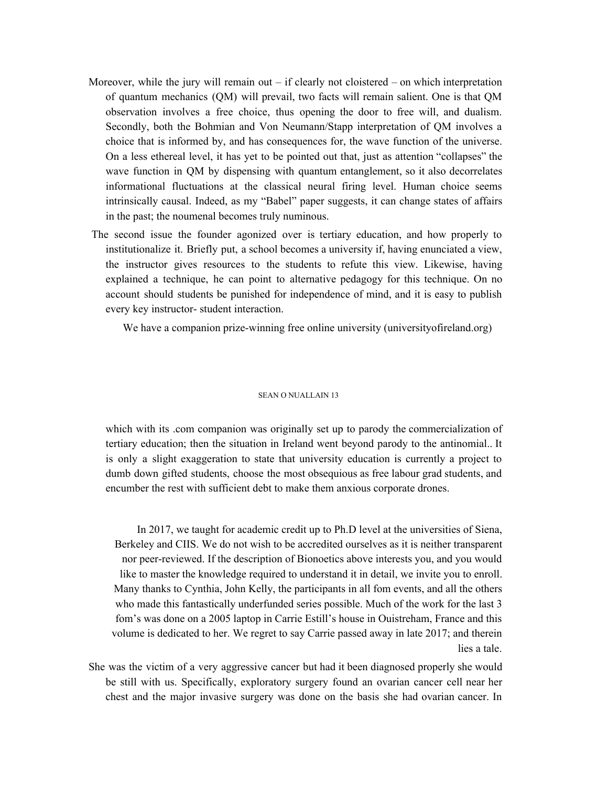- Moreover, while the jury will remain out if clearly not cloistered on which interpretation of quantum mechanics (QM) will prevail, two facts will remain salient. One is that QM observation involves a free choice, thus opening the door to free will, and dualism. Secondly, both the Bohmian and Von Neumann/Stapp interpretation of QM involves a choice that is informed by, and has consequences for, the wave function of the universe. On a less ethereal level, it has yet to be pointed out that, just as attention "collapses" the wave function in QM by dispensing with quantum entanglement, so it also decorrelates informational fluctuations at the classical neural firing level. Human choice seems intrinsically causal. Indeed, as my "Babel" paper suggests, it can change states of affairs in the past; the noumenal becomes truly numinous.
- The second issue the founder agonized over is tertiary education, and how properly to institutionalize it. Briefly put, a school becomes a university if, having enunciated a view, the instructor gives resources to the students to refute this view. Likewise, having explained a technique, he can point to alternative pedagogy for this technique. On no account should students be punished for independence of mind, and it is easy to publish every key instructor- student interaction.

We have a companion prize-winning free online university (universityofireland.org)

#### SEAN O NUALLAIN 13

which with its .com companion was originally set up to parody the commercialization of tertiary education; then the situation in Ireland went beyond parody to the antinomial.. It is only a slight exaggeration to state that university education is currently a project to dumb down gifted students, choose the most obsequious as free labour grad students, and encumber the rest with sufficient debt to make them anxious corporate drones.

In 2017, we taught for academic credit up to Ph.D level at the universities of Siena, Berkeley and CIIS. We do not wish to be accredited ourselves as it is neither transparent nor peer-reviewed. If the description of Bionoetics above interests you, and you would like to master the knowledge required to understand it in detail, we invite you to enroll. Many thanks to Cynthia, John Kelly, the participants in all fom events, and all the others who made this fantastically underfunded series possible. Much of the work for the last 3 fom's was done on a 2005 laptop in Carrie Estill's house in Ouistreham, France and this volume is dedicated to her. We regret to say Carrie passed away in late 2017; and therein lies a tale.

She was the victim of a very aggressive cancer but had it been diagnosed properly she would be still with us. Specifically, exploratory surgery found an ovarian cancer cell near her chest and the major invasive surgery was done on the basis she had ovarian cancer. In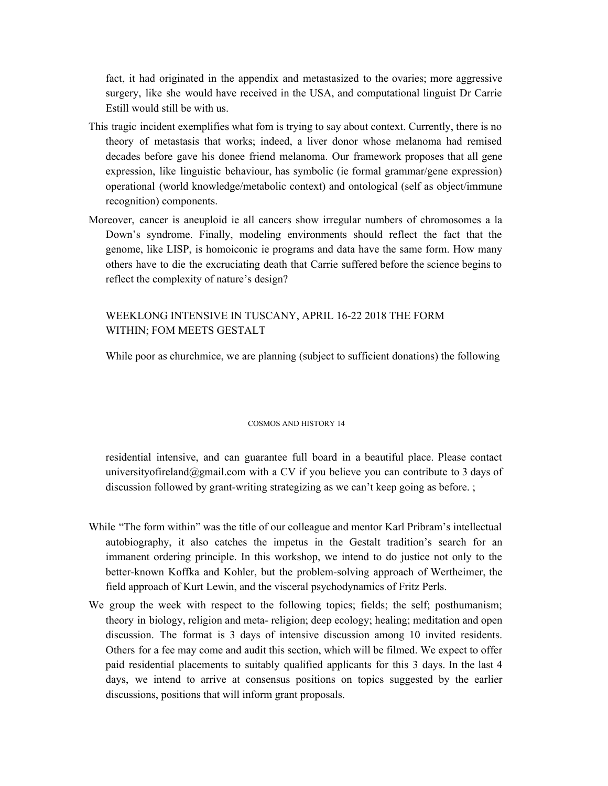fact, it had originated in the appendix and metastasized to the ovaries; more aggressive surgery, like she would have received in the USA, and computational linguist Dr Carrie Estill would still be with us.

- This tragic incident exemplifies what fom is trying to say about context. Currently, there is no theory of metastasis that works; indeed, a liver donor whose melanoma had remised decades before gave his donee friend melanoma. Our framework proposes that all gene expression, like linguistic behaviour, has symbolic (ie formal grammar/gene expression) operational (world knowledge/metabolic context) and ontological (self as object/immune recognition) components.
- Moreover, cancer is aneuploid ie all cancers show irregular numbers of chromosomes a la Down's syndrome. Finally, modeling environments should reflect the fact that the genome, like LISP, is homoiconic ie programs and data have the same form. How many others have to die the excruciating death that Carrie suffered before the science begins to reflect the complexity of nature's design?

# WEEKLONG INTENSIVE IN TUSCANY, APRIL 16-22 2018 THE FORM WITHIN; FOM MEETS GESTALT

While poor as churchmice, we are planning (subject to sufficient donations) the following

#### COSMOS AND HISTORY 14

residential intensive, and can guarantee full board in a beautiful place. Please contact university of reland  $\omega$  gmail.com with a CV if you believe you can contribute to 3 days of discussion followed by grant-writing strategizing as we can't keep going as before. ;

- While "The form within" was the title of our colleague and mentor Karl Pribram's intellectual autobiography, it also catches the impetus in the Gestalt tradition's search for an immanent ordering principle. In this workshop, we intend to do justice not only to the better-known Koffka and Kohler, but the problem-solving approach of Wertheimer, the field approach of Kurt Lewin, and the visceral psychodynamics of Fritz Perls.
- We group the week with respect to the following topics; fields; the self; posthumanism; theory in biology, religion and meta- religion; deep ecology; healing; meditation and open discussion. The format is 3 days of intensive discussion among 10 invited residents. Others for a fee may come and audit this section, which will be filmed. We expect to offer paid residential placements to suitably qualified applicants for this 3 days. In the last 4 days, we intend to arrive at consensus positions on topics suggested by the earlier discussions, positions that will inform grant proposals.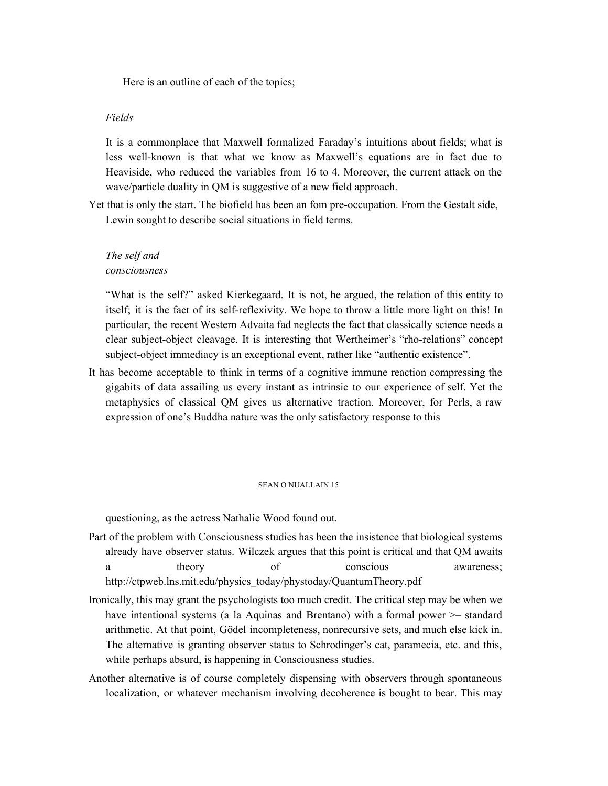Here is an outline of each of the topics;

## *Fields*

It is a commonplace that Maxwell formalized Faraday's intuitions about fields; what is less well-known is that what we know as Maxwell's equations are in fact due to Heaviside, who reduced the variables from 16 to 4. Moreover, the current attack on the wave/particle duality in QM is suggestive of a new field approach.

Yet that is only the start. The biofield has been an fom pre-occupation. From the Gestalt side, Lewin sought to describe social situations in field terms.

## *The self and consciousness*

"What is the self?" asked Kierkegaard. It is not, he argued, the relation of this entity to itself; it is the fact of its self-reflexivity. We hope to throw a little more light on this! In particular, the recent Western Advaita fad neglects the fact that classically science needs a clear subject-object cleavage. It is interesting that Wertheimer's "rho-relations" concept subject-object immediacy is an exceptional event, rather like "authentic existence".

It has become acceptable to think in terms of a cognitive immune reaction compressing the gigabits of data assailing us every instant as intrinsic to our experience of self. Yet the metaphysics of classical QM gives us alternative traction. Moreover, for Perls, a raw expression of one's Buddha nature was the only satisfactory response to this

#### SEAN O NUALLAIN 15

questioning, as the actress Nathalie Wood found out.

- Part of the problem with Consciousness studies has been the insistence that biological systems already have observer status. Wilczek argues that this point is critical and that QM awaits a theory of conscious awareness; http://ctpweb.lns.mit.edu/physics\_today/phystoday/QuantumTheory.pdf
- Ironically, this may grant the psychologists too much credit. The critical step may be when we have intentional systems (a la Aquinas and Brentano) with a formal power  $\geq$ = standard arithmetic. At that point, Gödel incompleteness, nonrecursive sets, and much else kick in. The alternative is granting observer status to Schrodinger's cat, paramecia, etc. and this, while perhaps absurd, is happening in Consciousness studies.
- Another alternative is of course completely dispensing with observers through spontaneous localization, or whatever mechanism involving decoherence is bought to bear. This may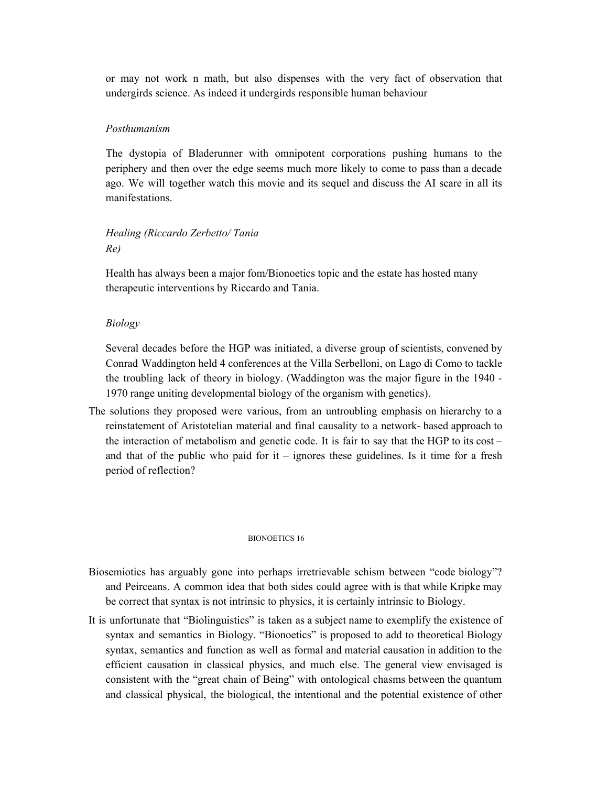or may not work n math, but also dispenses with the very fact of observation that undergirds science. As indeed it undergirds responsible human behaviour

## *Posthumanism*

The dystopia of Bladerunner with omnipotent corporations pushing humans to the periphery and then over the edge seems much more likely to come to pass than a decade ago. We will together watch this movie and its sequel and discuss the AI scare in all its manifestations.

# *Healing (Riccardo Zerbetto/ Tania Re)*

Health has always been a major fom/Bionoetics topic and the estate has hosted many therapeutic interventions by Riccardo and Tania.

## *Biology*

Several decades before the HGP was initiated, a diverse group of scientists, convened by Conrad Waddington held 4 conferences at the Villa Serbelloni, on Lago di Como to tackle the troubling lack of theory in biology. (Waddington was the major figure in the 1940 - 1970 range uniting developmental biology of the organism with genetics).

The solutions they proposed were various, from an untroubling emphasis on hierarchy to a reinstatement of Aristotelian material and final causality to a network- based approach to the interaction of metabolism and genetic code. It is fair to say that the HGP to its  $cost$ and that of the public who paid for it – ignores these guidelines. Is it time for a fresh period of reflection?

#### BIONOETICS 16

- Biosemiotics has arguably gone into perhaps irretrievable schism between "code biology"? and Peirceans. A common idea that both sides could agree with is that while Kripke may be correct that syntax is not intrinsic to physics, it is certainly intrinsic to Biology.
- It is unfortunate that "Biolinguistics" is taken as a subject name to exemplify the existence of syntax and semantics in Biology. "Bionoetics" is proposed to add to theoretical Biology syntax, semantics and function as well as formal and material causation in addition to the efficient causation in classical physics, and much else. The general view envisaged is consistent with the "great chain of Being" with ontological chasms between the quantum and classical physical, the biological, the intentional and the potential existence of other